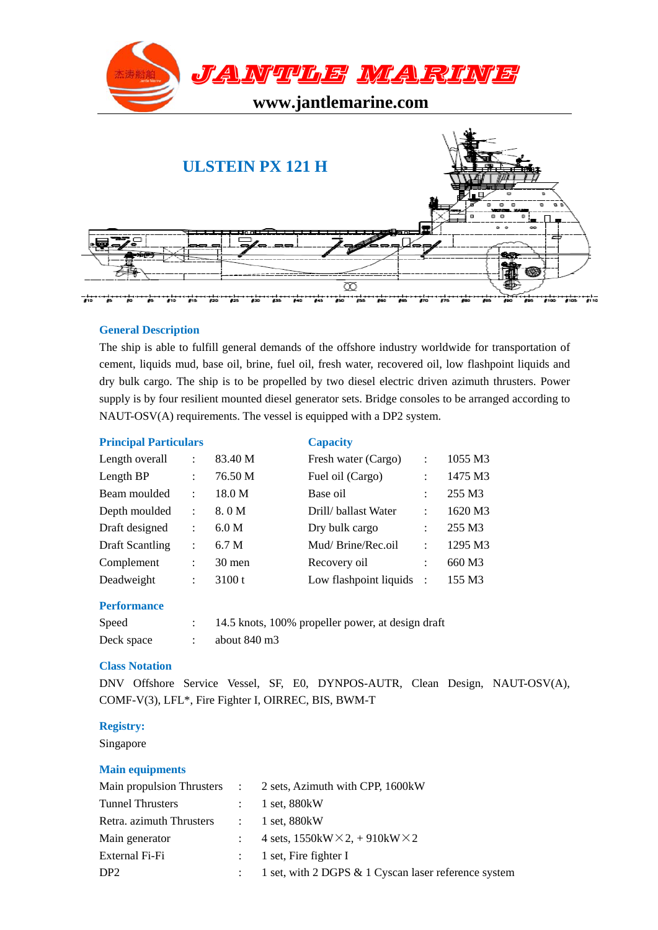



# **General Description**

The ship is able to fulfill general demands of the offshore industry worldwide for transportation of cement, liquids mud, base oil, brine, fuel oil, fresh water, recovered oil, low flashpoint liquids and dry bulk cargo. The ship is to be propelled by two diesel electric driven azimuth thrusters. Power supply is by four resilient mounted diesel generator sets. Bridge consoles to be arranged according to NAUT-OSV(A) requirements. The vessel is equipped with a DP2 system.

# **Principal Particulars Capacity**

| Length overall         | $\ddot{\phantom{a}}$ | 83.40 M | Fresh water (Cargo)    | $\ddot{\cdot}$       | 1055 M3 |
|------------------------|----------------------|---------|------------------------|----------------------|---------|
| Length BP              | $\ddot{\cdot}$       | 76.50 M | Fuel oil (Cargo)       | $\ddot{\cdot}$       | 1475 M3 |
| Beam moulded           | $\ddot{\cdot}$       | 18.0 M  | Base oil               | $\ddot{\cdot}$       | 255 M3  |
| Depth moulded          | $\ddot{\phantom{a}}$ | 8.0 M   | Drill/ballast Water    | $\ddot{\phantom{a}}$ | 1620 M3 |
| Draft designed         | $\ddot{\cdot}$       | 6.0 M   | Dry bulk cargo         | $\ddot{\phantom{a}}$ | 255 M3  |
| <b>Draft Scantling</b> | $\ddot{\cdot}$       | 6.7 M   | Mud/Brine/Rec.oil      | $\ddot{\cdot}$       | 1295 M3 |
| Complement             | $\ddot{\phantom{a}}$ | 30 men  | Recovery oil           | $\ddot{\phantom{a}}$ | 660 M3  |
| Deadweight             | :                    | 3100t   | Low flashpoint liquids | $\therefore$         | 155 M3  |

### **Performance**

| Speed      | 14.5 knots, 100% propeller power, at design draft |
|------------|---------------------------------------------------|
| Deck space | about 840 m <sup>3</sup>                          |

### **Class Notation**

DNV Offshore Service Vessel, SF, E0, DYNPOS-AUTR, Clean Design, NAUT-OSV(A), COMF-V(3), LFL\*, Fire Fighter I, OIRREC, BIS, BWM-T

# **Registry:**

Singapore

# **Main equipments**

|                          | Main propulsion Thrusters : 2 sets, Azimuth with CPP, 1600kW |
|--------------------------|--------------------------------------------------------------|
| <b>Tunnel Thrusters</b>  | $: 1$ set, 880 kW                                            |
| Retra. azimuth Thrusters | $: 1$ set, 880 kW                                            |
| Main generator           | 4 sets, $1550kW \times 2$ , $+ 910kW \times 2$               |
| External Fi-Fi           | $\therefore$ 1 set, Fire fighter I                           |
| DP <sub>2</sub>          | 1 set, with 2 DGPS & 1 Cyscan laser reference system         |